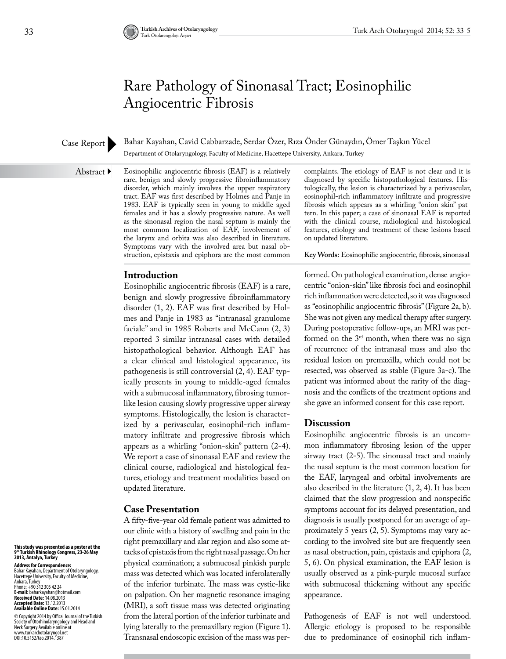# Rare Pathology of Sinonasal Tract; Eosinophilic Angiocentric Fibrosis

### Case Report

Bahar Kayahan, Cavid Cabbarzade, Serdar Özer, Rıza Önder Günaydın, Ömer Taşkın Yücel Department of Otolaryngology, Faculty of Medicine, Hacettepe University, Ankara, Turkey

Abstract  $\blacktriangleright$ 

Eosinophilic angiocentric fibrosis (EAF) is a relatively rare, benign and slowly progressive fibroinflammatory disorder, which mainly involves the upper respiratory tract. EAF was first described by Holmes and Panje in 1983. EAF is typically seen in young to middle-aged females and it has a slowly progressive nature. As well as the sinonasal region the nasal septum is mainly the most common localization of EAF, involvement of the larynx and orbita was also described in literature. Symptoms vary with the involved area but nasal obstruction, epistaxis and epiphora are the most common

complaints. The etiology of EAF is not clear and it is diagnosed by specific histopathological features. Histologically, the lesion is characterized by a perivascular, eosinophil-rich inflammatory infiltrate and progressive fibrosis which appears as a whirling "onion-skin" pattern. In this paper; a case of sinonasal EAF is reported with the clinical course, radiological and histological features, etiology and treatment of these lesions based on updated literature.

**Key Words:** Eosinophilic angiocentric, fibrosis, sinonasal

### **Introduction**

Eosinophilic angiocentric fibrosis (EAF) is a rare, benign and slowly progressive fibroinflammatory disorder (1, 2). EAF was first described by Holmes and Panje in 1983 as "intranasal granulome faciale" and in 1985 Roberts and McCann (2, 3) reported 3 similar intranasal cases with detailed histopathological behavior. Although EAF has a clear clinical and histological appearance, its pathogenesis is still controversial (2, 4). EAF typically presents in young to middle-aged females with a submucosal inflammatory, fibrosing tumorlike lesion causing slowly progressive upper airway symptoms. Histologically, the lesion is characterized by a perivascular, eosinophil-rich inflammatory infiltrate and progressive fibrosis which appears as a whirling "onion-skin" pattern (2-4). We report a case of sinonasal EAF and review the clinical course, radiological and histological features, etiology and treatment modalities based on updated literature.

#### **Case Presentation**

A fifty-five-year old female patient was admitted to our clinic with a history of swelling and pain in the right premaxillary and alar region and also some attacks of epistaxis from the right nasal passage. On her physical examination; a submucosal pinkish purple mass was detected which was located inferolaterally of the inferior turbinate. The mass was cystic-like on palpation. On her magnetic resonance imaging (MRI), a soft tissue mass was detected originating from the lateral portion of the inferior turbinate and lying laterally to the premaxillary region (Figure 1). Transnasal endoscopic excision of the mass was performed. On pathological examination, dense angiocentric "onion-skin" like fibrosis foci and eosinophil rich inflammation were detected, so it was diagnosed as "eosinophilic angiocentric fibrosis" (Figure 2a, b). She was not given any medical therapy after surgery. During postoperative follow-ups, an MRI was performed on the 3rd month, when there was no sign of recurrence of the intranasal mass and also the residual lesion on premaxilla, which could not be resected, was observed as stable (Figure 3a-c). The patient was informed about the rarity of the diagnosis and the conflicts of the treatment options and she gave an informed consent for this case report.

#### **Discussion**

Eosinophilic angiocentric fibrosis is an uncommon inflammatory fibrosing lesion of the upper airway tract (2-5). The sinonasal tract and mainly the nasal septum is the most common location for the EAF, laryngeal and orbital involvements are also described in the literature (1, 2, 4). It has been claimed that the slow progression and nonspecific symptoms account for its delayed presentation, and diagnosis is usually postponed for an average of approximately 5 years (2, 5). Symptoms may vary according to the involved site but are frequently seen as nasal obstruction, pain, epistaxis and epiphora (2, 5, 6). On physical examination, the EAF lesion is usually observed as a pink-purple mucosal surface with submucosal thickening without any specific appearance.

Pathogenesis of EAF is not well understood. Allergic etiology is proposed to be responsible due to predominance of eosinophil rich inflam-

# **This study was presented as a poster at the 9th Turkish Rhinology Congress, 23-26 May 2013, Antalya, Turkey**

**Address for Correspondence:**  Bahar Kayahan, Department of Otolaryngology, Hacettepe University, Faculty of Medicine, Ankara, Turkey Phone: +90 312 305 42 24 **E-mail:** baharkayahan@hotmail.com **Received Date:** 14.08.2013 **Accepted Date:** 13.12.2013 **Available Online Date:** 15.01.2014

© Copyright 2014 by Offical Journal of the Turkish Society of Otorhinolaryngology and Head and Neck Surgery Available online at www.turkarchotolaryngol.net DOI:10.5152/tao.2014.1387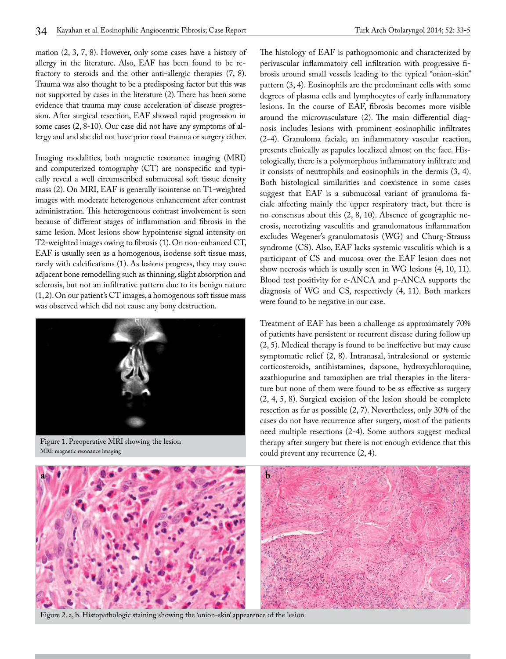mation (2, 3, 7, 8). However, only some cases have a history of allergy in the literature. Also, EAF has been found to be refractory to steroids and the other anti-allergic therapies (7, 8). Trauma was also thought to be a predisposing factor but this was not supported by cases in the literature (2). There has been some evidence that trauma may cause acceleration of disease progression. After surgical resection, EAF showed rapid progression in some cases (2, 8-10). Our case did not have any symptoms of allergy and and she did not have prior nasal trauma or surgery either.

Imaging modalities, both magnetic resonance imaging (MRI) and computerized tomography (CT) are nonspecific and typically reveal a well circumscribed submucosal soft tissue density mass (2). On MRI, EAF is generally isointense on T1-weighted images with moderate heterogenous enhancement after contrast administration. This heterogeneous contrast involvement is seen because of different stages of inflammation and fibrosis in the same lesion. Most lesions show hypointense signal intensity on T2-weighted images owing to fibrosis (1). On non-enhanced CT, EAF is usually seen as a homogenous, isodense soft tissue mass, rarely with calcifications (1). As lesions progress, they may cause adjacent bone remodelling such as thinning, slight absorption and sclerosis, but not an infiltrative pattern due to its benign nature (1, 2). On our patient's CT images, a homogenous soft tissue mass was observed which did not cause any bony destruction.



Figure 1. Preoperative MRI showing the lesion MRI: magnetic resonance imaging

The histology of EAF is pathognomonic and characterized by perivascular inflammatory cell infiltration with progressive fibrosis around small vessels leading to the typical "onion-skin" pattern (3, 4). Eosinophils are the predominant cells with some degrees of plasma cells and lymphocytes of early inflammatory lesions. In the course of EAF, fibrosis becomes more visible around the microvasculature (2). The main differential diagnosis includes lesions with prominent eosinophilic infiltrates (2-4). Granuloma faciale, an inflammatory vascular reaction, presents clinically as papules localized almost on the face. Histologically, there is a polymorphous inflammatory infiltrate and it consists of neutrophils and eosinophils in the dermis (3, 4). Both histological similarities and coexistence in some cases suggest that EAF is a submucosal variant of granuloma faciale affecting mainly the upper respiratory tract, but there is no consensus about this (2, 8, 10). Absence of geographic necrosis, necrotizing vasculitis and granulomatous inflammation excludes Wegener's granulomatosis (WG) and Churg-Strauss syndrome (CS). Also, EAF lacks systemic vasculitis which is a participant of CS and mucosa over the EAF lesion does not show necrosis which is usually seen in WG lesions (4, 10, 11). Blood test positivity for c-ANCA and p-ANCA supports the diagnosis of WG and CS, respectively (4, 11). Both markers were found to be negative in our case.

Treatment of EAF has been a challenge as approximately 70% of patients have persistent or recurrent disease during follow up (2, 5). Medical therapy is found to be ineffective but may cause symptomatic relief (2, 8). Intranasal, intralesional or systemic corticosteroids, antihistamines, dapsone, hydroxychloroquine, azathiopurine and tamoxiphen are trial therapies in the literature but none of them were found to be as effective as surgery (2, 4, 5, 8). Surgical excision of the lesion should be complete resection as far as possible (2, 7). Nevertheless, only 30% of the cases do not have recurrence after surgery, most of the patients need multiple resections (2-4). Some authors suggest medical therapy after surgery but there is not enough evidence that this could prevent any recurrence (2, 4).



Figure 2. a, b. Histopathologic staining showing the 'onion-skin' appearence of the lesion